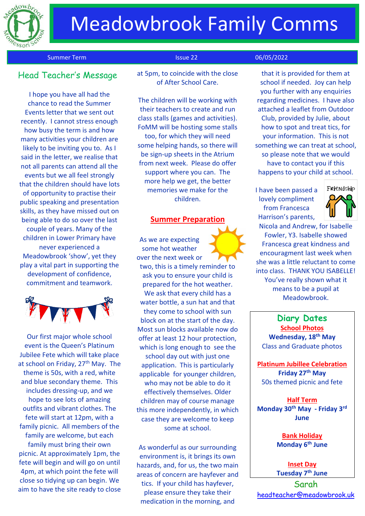

## Meadowbrook Family Comms

Summer Term Issue 22 06/05/2022

## Head Teacher's Messag<sup>e</sup>

I hope you have all had the chance to read the Summer Events letter that we sent out recently. I cannot stress enough how busy the term is and how many activities your children are likely to be inviting you to. As I said in the letter, we realise that not all parents can attend all the events but we all feel strongly that the children should have lots of opportunity to practise their public speaking and presentation skills, as they have missed out on being able to do so over the last couple of years. Many of the children in Lower Primary have never experienced a Meadowbrook 'show', yet they play a vital part in supporting the development of confidence, commitment and teamwork.



Our first major whole school event is the Queen's Platinum Jubilee Fete which will take place at school on Friday, 27<sup>th</sup> May. The theme is 50s, with a red, white and blue secondary theme. This includes dressing-up, and we hope to see lots of amazing outfits and vibrant clothes. The fete will start at 12pm, with a family picnic. All members of the family are welcome, but each family must bring their own picnic. At approximately 1pm, the fete will begin and will go on until 4pm, at which point the fete will close so tidying up can begin. We aim to have the site ready to close at 5pm, to coincide with the close of After School Care.

The children will be working with their teachers to create and run class stalls (games and activities). FoMM will be hosting some stalls too, for which they will need some helping hands, so there will be sign-up sheets in the Atrium from next week. Please do offer support where you can. The more help we get, the better memories we make for the children.

### **Summer Preparation**

As we are expecting some hot weather over the next week or two, this is a timely reminder to ask you to ensure your child is prepared for the hot weather. We ask that every child has a water bottle, a sun hat and that they come to school with sun block on at the start of the day. Most sun blocks available now do offer at least 12 hour protection, which is long enough to see the school day out with just one application. This is particularly applicable for younger children, who may not be able to do it effectively themselves. Older children may of course manage this more independently, in which case they are welcome to keep some at school.

As wonderful as our surrounding environment is, it brings its own hazards, and, for us, the two main areas of concern are hayfever and tics. If your child has hayfever, please ensure they take their medication in the morning, and

that it is provided for them at school if needed. Joy can help you further with any enquiries regarding medicines. I have also attached a leaflet from Outdoor Club, provided by Julie, about how to spot and treat tics, for your information. This is not something we can treat at school, so please note that we would have to contact you if this happens to your child at school.

I have been passed a lovely compliment from Francesca Harrison's parents,



Nicola and Andrew, for Isabelle Fowler, Y3. Isabelle showed Francesca great kindness and encouragment last week when she was a little reluctant to come into class. THANK YOU ISABELLE! You've really shown what it means to be a pupil at Meadowbrook.

**Diary Dates School Photos Wednesday, 18th May**  Class and Graduate photos

**Platinum Jubillee Celebration Friday 27th May** 50s themed picnic and fete

**Half Term Monday 30th May - Friday 3 rd June** 

> **Bank Holiday Monday 6 th June**

**Inset Day Tuesday 7th June**

Sarah [headteacher@meadowbrook.uk](mailto:headteacher@meadowbrook.uk)